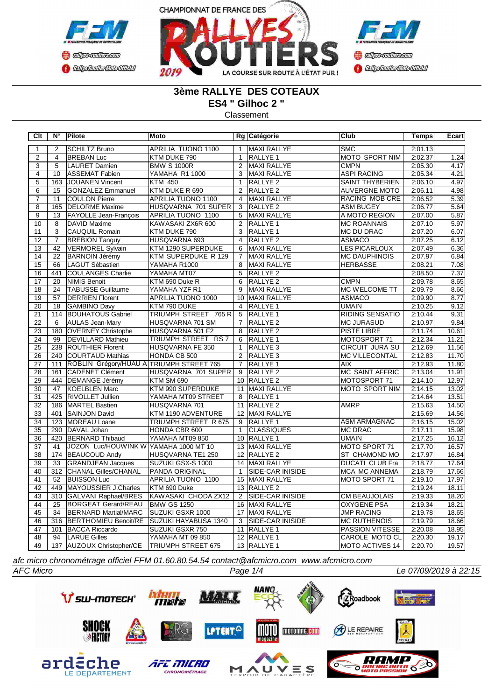



## **3ème RALLYE DES COTEAUX**

**ES4 " Gilhoc 2 "**

Classement

| Clt             | $N^{\circ}$      | Pilote                                   | Moto                      |                 | Rg Catégorie            | <b>Club</b>            | <b>Temps</b> | Ecart |
|-----------------|------------------|------------------------------------------|---------------------------|-----------------|-------------------------|------------------------|--------------|-------|
| $\mathbf{1}$    | $\overline{2}$   | <b>SCHILTZ Bruno</b>                     | <b>APRILIA TUONO 1100</b> | $\mathbf{1}$    | <b>MAXI RALLYE</b>      | <b>SMC</b>             | 2:01.13      |       |
| $\overline{2}$  | $\overline{4}$   | <b>BREBAN Luc</b>                        | KTM DUKE 790              | $\mathbf{1}$    | RALLYE <sub>1</sub>     | <b>MOTO SPORT NIM</b>  | 2:02.37      | 1.24  |
| 3               | 5                | LAURET Damien                            | <b>BMW S 1000R</b>        | 2               | MAXI RALLYE             | <b>CMPN</b>            | 2:05.30      | 4.17  |
| $\overline{4}$  | 10               | <b>ASSEMAT Fabien</b>                    | <b>YAMAHA R1 1000</b>     | $\overline{3}$  | <b>MAXI RALLYE</b>      | <b>ASPI RACING</b>     | 2:05.34      | 4.21  |
| $\overline{5}$  | 163              | <b>JOUANEN Vincent</b>                   | <b>KTM 450</b>            | $\mathbf{1}$    | <b>RALLYE 2</b>         | <b>SAINT THYBERIEN</b> | 2:06.10      | 4.97  |
| $\overline{6}$  | 15               | <b>GONZALEZ Emmanuel</b>                 | KTM DUKE R 690            | $\overline{2}$  | RALLYE <sub>2</sub>     | <b>AUVERGNE MOTO</b>   | 2:06.11      | 4.98  |
| $\overline{7}$  | 11               | <b>COULON Pierre</b>                     | APRILIA TUONO 1100        | 4               | MAXI RALLYE             | RACING MOB CRE         | 2:06.52      | 5.39  |
| $\overline{8}$  | 165              | <b>DELORME</b> Maxime                    | HUSQVARNA 701 SUPER       | $\overline{3}$  | <b>RALLYE 2</b>         | <b>ASM BUGEY</b>       | 2:06.77      | 5.64  |
| $\overline{9}$  | 13               | <b>FAYOLLE Jean-François</b>             | APRILIA TUONO 1100        | 5               | <b>MAXI RALLYE</b>      | A MOTO REGION          | 2:07.00      | 5.87  |
| 10              | 8                | DAVID Maxime                             | KAWASAKI ZX6R 600         | $\overline{2}$  | <b>RALLYE 1</b>         | <b>MC ROANNAIS</b>     | 2:07.10      | 5.97  |
| 11              | $\overline{3}$   | CAUQUIL Romain                           | KTM DUKE 790              | 3               | <b>RALLYE 1</b>         | MC DU DRAC             | 2:07.20      | 6.07  |
| 12              | $\overline{7}$   | <b>BREBION Tanguy</b>                    | HUSQVARNA 693             | $\overline{4}$  | RALLYE <sub>2</sub>     | <b>ASMACO</b>          | 2:07.25      | 6.12  |
| $\overline{13}$ | $\overline{42}$  | <b>VERMOREL Sylvain</b>                  | KTM 1290 SUPERDUKE        | 6               | <b>MAXI RALLYE</b>      | <b>LES PICARLOUX</b>   | 2:07.49      | 6.36  |
| $\overline{14}$ | $\overline{22}$  | <b>BARNOIN Jérémy</b>                    | KTM SUPERDUKE R 129       | $\overline{7}$  | MAXI RALLYE             | <b>MC DAUPHINOIS</b>   | 2:07.97      | 6.84  |
| $\overline{15}$ | 66               | <b>LAGUT Sébastien</b>                   | YAMAHA R1000              | 8               | MAXI RALLYE             | <b>HERBASSE</b>        | 2:08.21      | 7.08  |
| $\overline{16}$ | 441              | COULANGES Charlie                        | YAMAHA MT07               | $\overline{5}$  | <b>RALLYE 2</b>         |                        | 2:08.50      | 7.37  |
| $\overline{17}$ | 20               | NIMIS Benoit                             | KTM 690 Duke R            | 6               | <b>RALLYE 2</b>         | <b>CMPN</b>            | 2:09.78      | 8.65  |
| $\overline{18}$ | $\overline{24}$  | <b>TABUSSE Guillaume</b>                 | YAMAHA YZF R1             | $\overline{9}$  | MAXI RALLYE             | <b>MC WELCOME TT</b>   | 2:09.79      | 8.66  |
| 19              | 57               | <b>DERRIEN Florent</b>                   | APRILIA TUONO 1000        | 10              | MAXI RALLYE             | <b>ASMACO</b>          | 2:09.90      | 8.77  |
| 20              | 18               | GAMBINO Davy                             | KTM 790 DUKE              | $\overline{4}$  | RALLYE <sub>1</sub>     | <b>UMAIN</b>           | 2:10.25      | 9.12  |
| $\overline{21}$ | 114              | <b>BOUHATOUS Gabriel</b>                 | TRIUMPH STREET 765 R      | $\overline{5}$  | <b>RALLYE 1</b>         | <b>RIDING SENSATIO</b> | 2:10.44      | 9.31  |
| 22              | 6                | <b>AULAS Jean-Mary</b>                   | HUSQVARNA 701 SM          | $\overline{7}$  | RALLYE <sub>2</sub>     | <b>MC JURASUD</b>      | 2:10.97      | 9.84  |
| 23              | 180              | <b>OVERNEY Christophe</b>                | HUSQVARNA 501 F2          | 8               | RALLYE <sub>2</sub>     | PISTE LIBRE            | 2:11.74      | 10.61 |
| $\overline{24}$ | 99               | <b>DEVILLARD</b> Mathieu                 | TRIUMPH STREET RS 7       | 6               | <b>RALLYE 1</b>         | MOTOSPORT 71           | 2:12.34      | 11.21 |
| $\overline{25}$ | 238              | <b>ROUTHIER Florent</b>                  | HUSQVARNA FE 350          | $\mathbf{1}$    | RALLYE <sub>3</sub>     | <b>CIRCUIT JURA SU</b> | 2:12.69      | 11.56 |
| 26              | 240              | COURTAUD Mathias                         | HONDA CB 500              | 2               | RALLYE <sub>3</sub>     | <b>MC VILLECONTAL</b>  | 2:12.83      | 11.70 |
| 27              | 111              | ROBLIN Grégory/HUAU A TRIUMPH STREET 765 |                           | $\overline{7}$  | RALLYE <sub>1</sub>     | <b>AIX</b>             | 2:12.93      | 11.80 |
| $\overline{28}$ | 161              | CADENET Clément                          | HUSQVARNA 701 SUPER       | 9               | RALLYE <sub>2</sub>     | <b>MC SAINT AFFRIC</b> | 2:13.04      | 11.91 |
| 29              | 444              | <b>DEMANGE Jérémy</b>                    | KTM SM 690                |                 | 10 RALLYE 2             | MOTOSPORT 71           | 2:14.10      | 12.97 |
| 30              | 47               | KOELBLEN Marc                            | KTM 990 SUPERDUKE         |                 | 11 MAXI RALLYE          | <b>MOTO SPORT NIM</b>  | 2:14.15      | 13.02 |
| 31              | 425              | <b>RIVOLLET Jullien</b>                  | YAMAHA MT09 STREET        | 8               | RALLYE <sub>1</sub>     |                        | 2:14.64      | 13.51 |
| $\overline{32}$ | 186              | <b>MARTEL Bastien</b>                    | HUSQVARNA 701             |                 | 11 RALLYE 2             | <b>AMRP</b>            | 2:15.63      | 14.50 |
| 33              | 401              | <b>SAINJON David</b>                     | KTM 1190 ADVENTURE        |                 | 12 MAXI RALLYE          |                        | 2:15.69      | 14.56 |
| $\overline{34}$ | 123              | MOREAU Loane                             | TRIUMPH STREET R 675      | 9               | <b>RALLYE 1</b>         | <b>ASM ARMAGNAC</b>    | 2:16.15      | 15.02 |
| $\overline{35}$ | 290              | DAVAL Johan                              | HONDA CBR 600             | $\mathbf{1}$    | <b>CLASSIQUES</b>       | <b>MC DRAC</b>         | 2:17.11      | 15.98 |
| $\overline{36}$ | 420              | <b>BERNARD Thibaud</b>                   | YAMAHA MT09 850           |                 | 10 RALLYE 1             | <b>UMAIN</b>           | 2:17.25      | 16.12 |
| 37              | 41               | JOZON Luc/HOUWINK W                      | YAMAHA 1000 MT 10         |                 | 13 MAXI RALLYE          | MOTO SPORT 71          | 2:17.70      | 16.57 |
| $\overline{38}$ | 174              | <b>BEAUCOUD Andy</b>                     | HUSQVARNA TE1 250         | 12              | RALLYE <sub>2</sub>     | <b>ST CHAMOND MO</b>   | 2:17.97      | 16.84 |
| 39              | 33               | <b>GRANDJEAN Jacques</b>                 | SUZUKI GSX-S 1000         |                 | 14 MAXI RALLYE          | <b>DUCATI CLUB Fra</b> | 2:18.77      | 17.64 |
| 40              | $\overline{312}$ | <b>CHANAL Gilles/CHANAL</b>              | <b>PANDA ORIGINAL</b>     | $\mathbf{1}$    | <b>SIDE-CAR INISIDE</b> | <b>MCA MC ANNEMA</b>   | 2:18.79      | 17.66 |
| 41              | $\overline{52}$  | <b>BUISSON Luc</b>                       | APRILIA TUONO 1100        |                 | 15 MAXI RALLYE          | MOTO SPORT 71          | 2:19.10      | 17.97 |
| 42              | 449              | MAYOUSSIER J.Charles                     | KTM 690 Duke              |                 | 13 RALLYE 2             |                        | 2:19.24      | 18.11 |
| 43              | 310              | <b>GALVANI Raphael/BRES</b>              | KAWASAKI CHODA ZX12       | $\overline{2}$  | <b>SIDE-CAR INISIDE</b> | <b>CM BEAUJOLAIS</b>   | 2:19.33      | 18.20 |
| $\overline{44}$ | $\overline{25}$  | <b>BORGEAT Gerard/REAU</b>               | <b>BMW GS 1250</b>        | $\overline{16}$ | <b>MAXI RALLYE</b>      | <b>OXYGENE PSA</b>     | 2:19.34      | 18.21 |
| 45              | $\overline{34}$  | <b>BERNARD Martial/MARC</b>              | SUZUKI GSXR 1000          |                 | 17 MAXI RALLYE          | <b>JMP RACING</b>      | 2:19.78      | 18.65 |
| 46              | $\overline{316}$ | <b>BERTHOMIEU Benoit/RE</b>              | SUZUKI HAYABUSA 1340      | 3               | <b>SIDE-CAR INISIDE</b> | <b>MC RUTHENOIS</b>    | 2:19.79      | 18.66 |
| 47              | 101              | <b>BACCA Riccardo</b>                    | SUZUKI GSXR 750           |                 | 11 RALLYE 1             | PASSION VITESSE        | 2:20.08      | 18.95 |
| 48              | 94               | <b>LARUE Gilles</b>                      | YAMAHA MT 09 850          |                 | 12 RALLYE 1             | <b>CAROLE MOTO CL</b>  | 2:20.30      | 19.17 |
| 49              |                  | 137 AUZOUX Christopher/CE                | <b>TRIUMPH STREET 675</b> |                 | 13 RALLYE 1             | MOTO ACTIVES 14        | 2:20.70      | 19.57 |

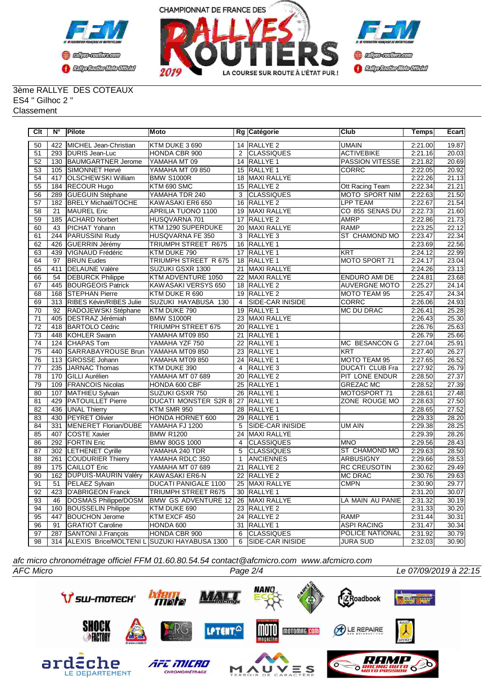



3ème RALLYE DES COTEAUX ES4 " Gilhoc 2 " **Classement** 

| Clt             | N°               | Pilote                                          | Moto                        |                 | Rg Catégorie            | <b>Club</b>            | Temps   | Ecart |
|-----------------|------------------|-------------------------------------------------|-----------------------------|-----------------|-------------------------|------------------------|---------|-------|
| 50              | 422              | MICHEL Jean-Christian                           | KTM DUKE 3 690              |                 | 14 RALLYE 2             | <b>UMAIN</b>           | 2:21.00 | 19.87 |
| 51              | 293              | DURIS Jean-Luc                                  | HONDA CBR 900               | 2               | <b>CLASSIQUES</b>       | <b>ACTIVEBIKE</b>      | 2:21.16 | 20.03 |
| $\overline{52}$ | 130              | <b>BAUMGARTNER Jerome</b>                       | YAMAHA MT 09                |                 | 14 RALLYE 1             | <b>PASSION VITESSE</b> | 2:21.82 | 20.69 |
| 53              | 105              | SIMONNET Hervé                                  | YAMAHA MT 09 850            |                 | 15 RALLYE 1             | CORRC                  | 2:22.05 | 20.92 |
| 54              | 417              | OLSCHEWSKI William                              | <b>BMW S1000R</b>           |                 | 18 MAXI RALLYE          |                        | 2:22.26 | 21.13 |
| 55              | 184              | <b>RECOUR Hugo</b>                              | KTM 690 SMC                 |                 | 15 RALLYE 2             | Ott Racing Team        | 2:22.34 | 21.21 |
| 56              | 289              | <b>GUEGUIN Stéphane</b>                         | YAMAHA TDR 240              | 3               | <b>CLASSIQUES</b>       | <b>MOTO SPORT NIM</b>  | 2:22.63 | 21.50 |
| 57              | 182              | <b>BRELY Michaël/TOCHE</b>                      | KAWASAKI ER6 650            | 16              | <b>RALLYE 2</b>         | <b>LPP TEAM</b>        | 2:22.67 | 21.54 |
| 58              | 21               | <b>MAUREL Eric</b>                              | APRILIA TUONO 1100          | 19              | MAXI RALLYE             | CO 855 SENAS DU        | 2:22.73 | 21.60 |
| 59              | 185              | <b>ACHARD Norbert</b>                           | HUSQVARNA 701               | 17              | <b>RALLYE 2</b>         | <b>AMRP</b>            | 2:22.86 | 21.73 |
| 60              | 43               | PICHAT Yohann                                   | KTM 1290 SUPERDUKE          |                 | 20 MAXI RALLYE          | <b>RAMP</b>            | 2:23.25 | 22.12 |
| 61              | 244              | PARUSSINI Rudy                                  | HUSQVARNA FE 350            | 3               | RALLYE <sub>3</sub>     | ST CHAMOND MO          | 2:23.47 | 22.34 |
| 62              | 426              | <b>GUERRIN Jérémy</b>                           | TRIUMPH STREET R675         |                 | 16 RALLYE 1             |                        | 2:23.69 | 22.56 |
| 63              | 439              | VIGNAUD Frédéric                                | KTM DUKE 790                | 17              | <b>RALLYE 1</b>         | <b>KRT</b>             | 2:24.12 | 22.99 |
| 64              | 97               | <b>BRUN Eudes</b>                               | TRIUMPH STREET R 675        |                 | 18 RALLYE 1             | MOTO SPORT 71          | 2:24.17 | 23.04 |
| 65              | 411              | <b>DELAUNE Valère</b>                           | SUZUKI GSXR 1300            | 21              | MAXI RALLYE             |                        | 2:24.26 | 23.13 |
| 66              | 54               | <b>DEBURCK Philippe</b>                         | KTM ADVENTURE 1050          | 22              | <b>MAXI RALLYE</b>      | <b>ENDURO AMI DE</b>   | 2:24.81 | 23.68 |
| 67              | 445              | <b>BOURGEOIS Patrick</b>                        | KAWASAKI VERSYS 650         | 18              | <b>RALLYE 2</b>         | <b>AUVERGNE MOTO</b>   | 2:25.27 | 24.14 |
| $\overline{68}$ | 168              | <b>STEPHAN Pierre</b>                           | KTM DUKE R 690              |                 | 19 RALLYE 2             | MOTO TEAM 95           | 2:25.47 | 24.34 |
| 69              | 313              | RIBES Kévin/RIBES Julie                         | SUZUKI HAYABUSA 130         | $\overline{4}$  | SIDE-CAR INISIDE        | CORRC                  | 2:26.06 | 24.93 |
| $\overline{70}$ | 92               | RADOJEWSKI Stéphane                             | KTM DUKE 790                |                 | 19 RALLYE 1             | <b>MC DU DRAC</b>      | 2:26.41 | 25.28 |
| $\overline{71}$ | 405              | <b>DESTRAZ Jérémiah</b>                         | <b>BMW S1000R</b>           |                 | 23 MAXI RALLYE          |                        | 2:26.43 | 25.30 |
| $\overline{72}$ | 418              | <b>BARTOLO Cédric</b>                           | <b>TRIUMPH STREET 675</b>   |                 | 20 RALLYE 1             |                        | 2:26.76 | 25.63 |
| $\overline{73}$ | 448              | <b>KOHLER Swann</b>                             | YAMAHA MT09 850             | 21              | RALLYE <sub>1</sub>     |                        | 2:26.79 | 25.66 |
| $\overline{74}$ | 124              | <b>CHAPAS Tom</b>                               | YAMAHA YZF 750              |                 | 22 RALLYE 1             | <b>MC BESANCON G</b>   | 2:27.04 | 25.91 |
| $\overline{75}$ | 440              | <b>SARRABAYROUSE Brun</b>                       | YAMAHA MT09 850             |                 | 23 RALLYE 1             | <b>KRT</b>             | 2:27.40 | 26.27 |
| 76              | 113              | <b>GROSSE Johann</b>                            | YAMAHA MT09 850             |                 | 24 RALLYE 1             | MOTO TEAM 95           | 2:27.65 | 26.52 |
| $\overline{77}$ | 235              | <b>JARNAC Thomas</b>                            | KTM DUKE 390                | $\overline{4}$  | <b>RALLYE 3</b>         | <b>DUCATI CLUB Fra</b> | 2:27.92 | 26.79 |
| $\overline{78}$ | 170              | <b>GILLI Aurélien</b>                           | YAMAHA MT 07 689            | $\overline{20}$ | <b>RALLYE 2</b>         | PIT LONE ENDUR         | 2:28.50 | 27.37 |
| $\overline{79}$ | 109              | <b>FRANCOIS Nicolas</b>                         | HONDA 600 CBF               |                 | 25 RALLYE 1             | <b>GREZAC MC</b>       | 2:28.52 | 27.39 |
| $\overline{80}$ | 107              | MATHIEU Sylvain                                 | SUZUKI GSXR 750             | $\overline{26}$ | <b>RALLYE 1</b>         | MOTOSPORT 71           | 2:28.61 | 27.48 |
| $\overline{81}$ | 429              | <b>PATOUILLET Pierre</b>                        | <b>DUCATI MONSTER S2R 8</b> |                 | 27 RALLYE 1             | ZONE ROUGE MO          | 2:28.63 | 27.50 |
| 82              | 436              | UNAL Thierry                                    | KTM SMR 950                 | 28              | RALLYE <sub>1</sub>     |                        | 2:28.65 | 27.52 |
| 83              | 430              | PEYRET Olivier                                  | HONDA HORNET 600            | 29              | RALLYE <sub>1</sub>     |                        | 2:29.33 | 28.20 |
| 84              | 331              | <b>MENERET Florian/DUBE</b>                     | YAMAHA FJ 1200              | 5               | <b>SIDE-CAR INISIDE</b> | UM AIN                 | 2:29.38 | 28.25 |
| 85              | 407              | <b>COSTE Xavier</b>                             | <b>BMW R1200</b>            | 24              | MAXI RALLYE             |                        | 2:29.39 | 28.26 |
| 86              | 292              | <b>FORTIN Eric</b>                              | <b>BMW 80GS 1000</b>        | $\overline{4}$  | <b>CLASSIQUES</b>       | <b>IMNO</b>            | 2:29.56 | 28.43 |
| 87              | 302              | <b>LETHENET Cyrille</b>                         | YAMAHA 240 TDR              | 5               | <b>CLASSIQUES</b>       | <b>ST CHAMOND MO</b>   | 2:29.63 | 28.50 |
| $\overline{88}$ | $\overline{261}$ | COUDURIER Thierry                               | YAMAHA RDLC 350             | $\mathbf{1}$    | <b>ANCIENNES</b>        | <b>ARBUSIGNY</b>       | 2:29.66 | 28.53 |
| 89              | 175              | <b>CAILLOT Eric</b>                             | YAMAHA MT 07 689            | 21              | <b>RALLYE 2</b>         | <b>RC CREUSOTIN</b>    | 2:30.62 | 29.49 |
| 90              | 162              | <b>DUPUIS-MAURIN Valéry</b>                     | KAWASAKI ER6-N              | $\overline{22}$ | RALLYE <sub>2</sub>     | <b>MC DRAC</b>         | 2:30.76 | 29.63 |
| $\overline{91}$ | $\overline{51}$  | <b>PELAEZ Sylvain</b>                           | <b>DUCATI PANIGALE 1100</b> |                 | 25 MAXI RALLYE          | <b>CMPN</b>            | 2:30.90 | 29.77 |
| 92              | 423              | <b>D'ABRIGEON Franck</b>                        | <b>TRIUMPH STREET R675</b>  | 30              | RALLYE <sub>1</sub>     |                        | 2:31.20 | 30.07 |
| 93              | 46               | DOSMAS Philippe/DOSM                            | <b>BMW GS ADVENTURE 12</b>  |                 | 26 MAXI RALLYE          | LA MAIN AU PANIE       | 2:31.32 | 30.19 |
| 94              | 160              | <b>BOUSSELIN Philippe</b>                       | KTM DUKE 690                |                 | 23 RALLYE 2             |                        | 2:31.33 | 30.20 |
| 95              | 447              | <b>BOUCHON Jerome</b>                           | KTM EXCF 450                |                 | 24 RALLYE 2             | <b>RAMP</b>            | 2:31.44 | 30.31 |
| 96              | 91               | <b>GRATIOT Caroline</b>                         | HONDA 600                   |                 | 31 RALLYE 1             | <b>ASPI RACING</b>     | 2:31.47 | 30.34 |
| $\overline{97}$ | 287              | <b>SANTONI J.François</b>                       | HONDA CBR 900               | 6               | <b>CLASSIQUES</b>       | <b>POLICE NATIONAL</b> | 2:31.92 | 30.79 |
| 98              |                  | 314 ALEXIS Brice/MOLTENI L SUZUKI HAYABUSA 1300 |                             | 6               | <b>SIDE-CAR INISIDE</b> | <b>JURA SUD</b>        | 2:32.03 | 30.90 |

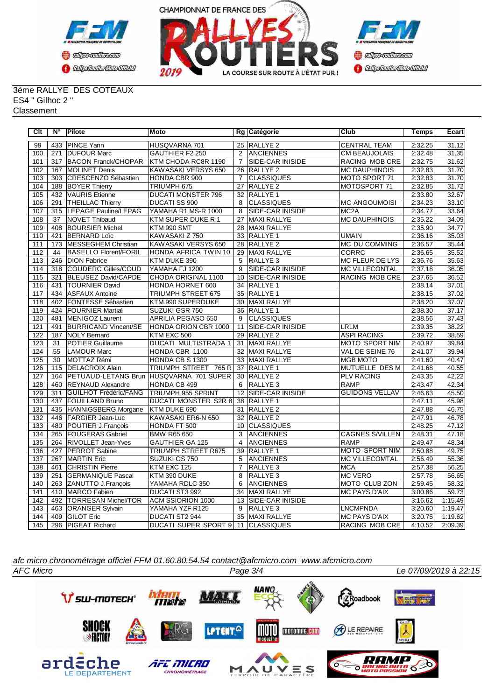



3ème RALLYE DES COTEAUX ES4 " Gilhoc 2 " **Classement** 

| Clt              | N°              | <b>Pilote</b>                | Moto                        |                 | Rg Catégorie             | Club                   | <b>Temps</b> | Ecart   |
|------------------|-----------------|------------------------------|-----------------------------|-----------------|--------------------------|------------------------|--------------|---------|
| 99               | 433             | <b>PINCE Yann</b>            | HUSQVARNA 701               |                 | 25 RALLYE 2              | <b>CENTRAL TEAM</b>    | 2:32.25      | 31.12   |
| 100              | 271             | <b>IDUFOUR Marc</b>          | <b>GAUTHIER F2 250</b>      | 2               | <b>ANCIENNES</b>         | <b>CM BEAUJOLAIS</b>   | 2:32.48      | 31.35   |
| 101              | 317             | <b>BACON Franck/CHOPAR</b>   | KTM CHODA RC8R 1190         | $\overline{7}$  | <b>SIDE-CAR INISIDE</b>  | <b>RACING MOB CRE</b>  | 2:32.75      | 31.62   |
| 102              | 167             | <b>MOLINET Denis</b>         | KAWASAKI VERSYS 650         | 26              | RALLYE <sub>2</sub>      | <b>MC DAUPHINOIS</b>   | 2:32.83      | 31.70   |
| 103              | 303             | CRESCENZO Sébastien          | HONDA CBR 900               | $\overline{7}$  | <b>CLASSIQUES</b>        | MOTO SPORT 71          | 2:32.83      | 31.70   |
| 104              | 188             | <b>BOYER Thierry</b>         | TRIUMPH 675                 | 27              | RALLYE <sub>2</sub>      | MOTOSPORT 71           | 2:32.85      | 31.72   |
| 105              | 432             | <b>VAURIS</b> Etienne        | <b>DUCATI MONSTER 796</b>   |                 | 32 RALLYE 1              |                        | 2:33.80      | 32.67   |
| 106              | 291             | <b>THEILLAC Thierry</b>      | <b>DUCATI SS 900</b>        | 8               | <b>CLASSIQUES</b>        | <b>MC ANGOUMOISI</b>   | 2:34.23      | 33.10   |
| 107              | 315             | LEPAGE Pauline/LEPAG         | YAMAHA R1 MS-R 1000         | 8               | SIDE-CAR INISIDE         | MC <sub>2</sub> A      | 2:34.77      | 33.64   |
| 108              | $\overline{37}$ | <b>NOVET Thibaud</b>         | KTM SUPER DUKE R 1          | $\overline{27}$ | <b>MAXI RALLYE</b>       | <b>MC DAUPHINOIS</b>   | 2:35.22      | 34.09   |
| 109              | 408             | <b>BOURSIER Michel</b>       | KTM 990 SMT                 | 28              | <b>MAXI RALLYE</b>       |                        | 2:35.90      | 34.77   |
| 110              | 421             | <b>BERNARD Loïc</b>          | KAWASAKI Z 750              | 33              | RALLYE <sub>1</sub>      | <b>UMAIN</b>           | 2:36.16      | 35.03   |
| 111              | 173             | <b>MESSEGHEM Christian</b>   | KAWASAKI VERSYS 650         | 28              | <b>RALLYE 2</b>          | MC DU COMMING          | 2:36.57      | 35.44   |
| 112              | 44              | <b>BASELLO Florent/FORIL</b> | <b>HONDA AFRICA TWIN 10</b> | 29              | MAXI RALLYE              | CORRC                  | 2:36.65      | 35.52   |
| 113              | 246             | <b>DION Fabrice</b>          | KTM DUKE 390                | 5               | <b>RALLYE 3</b>          | MC FLEUR DE LYS        | 2:36.76      | 35.63   |
| 114              | 318             | COUDERC Gilles/COUD          | YAMAHA FJ 1200              | 9               | SIDE-CAR INISIDE         | <b>MC VILLECONTAL</b>  | 2:37.18      | 36.05   |
| 115              | 321             | <b>BLEUSEZ David/CAPDE</b>   | CHODA ORIGINAL 1100         | 10              | <b>SIDE-CAR INISIDE</b>  | RACING MOB CRE         | 2:37.65      | 36.52   |
| 116              | 431             | <b>TOURNIER David</b>        | HONDA HORNET 600            | 34              | <b>RALLYE 1</b>          |                        | 2:38.14      | 37.01   |
| 117              | 434             | <b>ASFAUX Antoine</b>        | TRIUMPH STREET 675          |                 | 35 RALLYE 1              |                        | 2:38.15      | 37.02   |
| 118              | 402             | <b>FONTESSE Sébastien</b>    | KTM 990 SUPERDUKE           |                 | 30 MAXI RALLYE           |                        | 2:38.20      | 37.07   |
| 119              | 424             | <b>FOURNIER Martial</b>      | SUZUKI GSR 750              | 36              | <b>RALLYE 1</b>          |                        | 2:38.30      | 37.17   |
| 120              | 481             | MENIGOZ Laurent              | APRILIA PEGASO 650          | 9               | ICLASSIQUES              |                        | 2:38.56      | 37.43   |
| 121              | 491             | <b>BURRICAND Vincent/SE</b>  | HONDA ORION CBR 1000        | 11              | <b>SIDE-CAR INISIDE</b>  | <b>LRLM</b>            | 2:39.35      | 38.22   |
| 122              | 187             | <b>NOLY Bernard</b>          | KTM EXC 500                 | 29              | <b>RALLYE 2</b>          | <b>ASPI RACING</b>     | 2:39.72      | 38.59   |
| 123              | 31              | <b>POTIER Guillaume</b>      | DUCATI MULTISTRADA 1        | 31              | MAXI RALLYE              | MOTO SPORT NIM         | 2:40.97      | 39.84   |
| 124              | 55              | LAMOUR Marc                  | HONDA CBR 1100              | 32              | MAXI RALLYE              | VAL DE SEINE 76        | 2:41.07      | 39.94   |
| 125              | $\overline{30}$ | MOTTAZ Rémi                  | HONDA CB S 1300             |                 | 33 MAXI RALLYE           | <b>MGB MOTO</b>        | 2:41.60      | 40.47   |
| 126              | 115             | <b>DELACROIX Alain</b>       | TRIUMPH STREET 765 R        |                 | 37 RALLYE 1              | MUTUELLE DES M         | 2:41.68      | 40.55   |
| 127              | 164             | <b>PETUAUD-LETANG Brun</b>   | HUSQVARNA 701 SUPER         |                 | 30 RALLYE 2              | <b>PLV RACING</b>      | 2:43.35      | 42.22   |
| 128              | 460             | <b>REYNAUD Alexandre</b>     | <b>HONDA CB 499</b>         | 6               | RALLYE <sub>3</sub>      | <b>RAMP</b>            | 2:43.47      | 42.34   |
| 129              | 311             | <b>GUILHOT Frédéric/FANG</b> | <b>TRIUMPH 955 SPRINT</b>   | 12              | <b>SIDE-CAR INISIDE</b>  | <b>GUIDONS VELLAV</b>  | 2:46.63      | 45.50   |
| 130              | 437             | <b>FOUILLAND Bruno</b>       | <b>DUCATI MONSTER S2R 8</b> |                 | 38 RALLYE 1              |                        | 2:47.11      | 45.98   |
| 131              | 435             | HANNIGSBERG Morgane          | KTM DUKE 690                | 31              | <b>RALLYE 2</b>          |                        | 2:47.88      | 46.75   |
| 132              | 446             | <b>FARGIER Jean-Luc</b>      | KAWASAKI ER6-N 650          |                 | 32 RALLYE 2              |                        | 2:47.91      | 46.78   |
| 133              | 480             | POUTIER J.François           | HONDA FT 500                | 10              | <b>CLASSIQUES</b>        |                        | 2:48.25      | 47.12   |
| 134              | 265             | <b>FOUGERAS Gabriel</b>      | BMW R65 650                 | 3               | <b>ANCIENNES</b>         | <b>CAGNES S/VILLEN</b> | 2:48.31      | 47.18   |
| 135              | 264             | <b>RIVOLLET Jean-Yves</b>    | <b>GAUTHIER GA 125</b>      | $\overline{4}$  | <b>ANCIENNES</b>         | RAMP                   | 2:49.47      | 48.34   |
| 136              | 427             | PERROT Sabine                | TRIUMPH STREET R675         |                 | 39 RALLYE 1              | <b>MOTO SPORT NIM</b>  | 2:50.88      | 49.75   |
| 137              | 267             | <b>MARTIN Eric</b>           | SUZUKI GS 750               | 5               | <b>ANCIENNES</b>         | <b>MC VILLECOMTAL</b>  | 2:56.49      | 55.36   |
| 138              | 461             | <b>CHRISTIN Pierre</b>       | KTM EXC 125                 | $\overline{7}$  | RALLYE <sub>3</sub>      | <b>MCA</b>             | 2:57.38      | 56.25   |
| 139              | 251             | <b>IGERMANIQUE Pascal</b>    | KTM 390 DUKE                | 8               | RALLYE <sub>3</sub>      | <b>MC VERO</b>         | 2:57.78      | 56.65   |
| 140              | 263             | <b>ZANUTTO J.Francois</b>    | YAMAHA RDLC 350             | 6               | <b>ANCIENNES</b>         | MOTO CLUB ZON          | 2:59.45      | 58.32   |
| 141              | 410             | <b>IMARCO</b> Fabien         | DUCATI ST3 992              | 34              | <b>MAXI RALLYE</b>       | <b>MC PAYS D'AIX</b>   | 3:00.86      | 59.73   |
| 142              | 492             | TORRESAN Michel/TOR          | <b>ACM SSIORION 1000</b>    | 13              | <b>ISIDE-CAR INISIDE</b> |                        | 3:16.62      | 1:15.49 |
| $\overline{143}$ | 463             | <b>ORANGER Sylvain</b>       | YAMAHA YZF R125             | 9               | RALLYE <sub>3</sub>      | <b>LNCMPNDA</b>        | 3:20.60      | 1:19.47 |
| 144              | 409             | <b>GILOT Eric</b>            | DUCATI ST2 944              | 35              | MAXI RALLYE              | <b>MC PAYS D'AIX</b>   | 3:20.75      | 1:19.62 |
| 145              | 296             | <b>PIGEAT Richard</b>        | <b>DUCATI SUPER SPORT 9</b> |                 | 11 CLASSIQUES            | RACING MOB CRE         | 4:10.52      | 2:09.39 |